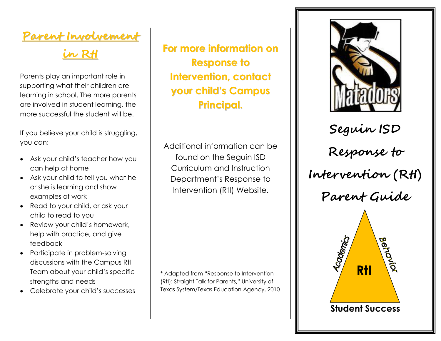## **Parent Involvement**

## **in RtI**

Parents play an important role in supporting what their children are learning in school. The more parents are involved in student learning, the more successful the student will be.

If you believe your child is struggling, you can:

- Ask your child's teacher how you can help at home
- Ask your child to tell you what he or she is learning and show examples of work
- Read to your child, or ask your child to read to you
- Review your child's homework, help with practice, and give feedback
- Participate in problem-solving discussions with the Campus RtI Team about your child's specific strengths and needs
- Celebrate your child's successes

**For more information on Response to Intervention, contact your child's Campus Principal.**

Additional information can be found on the Seguin ISD Curriculum and Instruction Department's Response to Intervention (RtI) Website.

\* Adapted from "Response to Intervention (RtI): Straight Talk for Parents," University of Texas System/Texas Education Agency, 2010



**Seguin ISD Response to Intervention (RtI) Parent Guide**